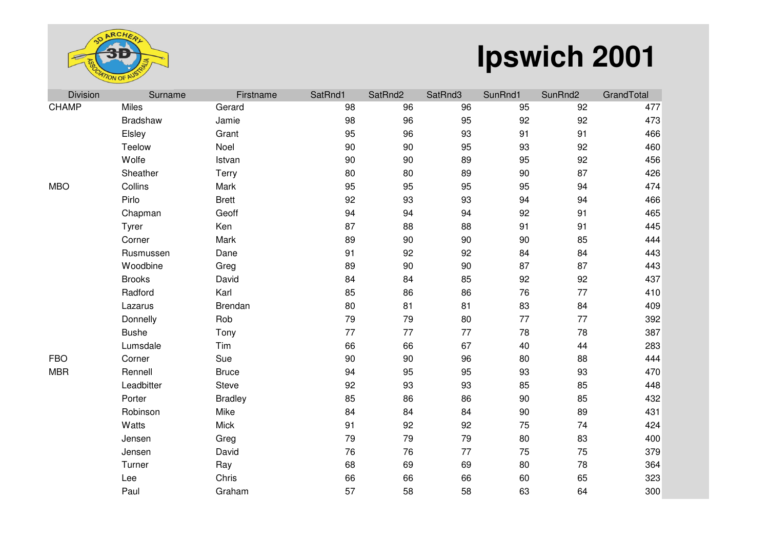

## **Ipswich 2001**

| <b>Division</b> | Surname       | Firstname      | SatRnd1 | SatRnd <sub>2</sub> | SatRnd3 | SunRnd1 | SunRnd <sub>2</sub> | GrandTotal |
|-----------------|---------------|----------------|---------|---------------------|---------|---------|---------------------|------------|
| <b>CHAMP</b>    | Miles         | Gerard         | 98      | 96                  | 96      | 95      | 92                  | 477        |
|                 | Bradshaw      | Jamie          | 98      | 96                  | 95      | 92      | 92                  | 473        |
|                 | Elsley        | Grant          | 95      | 96                  | 93      | 91      | 91                  | 466        |
|                 | Teelow        | Noel           | 90      | 90                  | 95      | 93      | 92                  | 460        |
|                 | Wolfe         | Istvan         | 90      | 90                  | 89      | 95      | 92                  | 456        |
|                 | Sheather      | Terry          | 80      | 80                  | 89      | 90      | 87                  | 426        |
| <b>MBO</b>      | Collins       | Mark           | 95      | 95                  | 95      | 95      | 94                  | 474        |
|                 | Pirlo         | <b>Brett</b>   | 92      | 93                  | 93      | 94      | 94                  | 466        |
|                 | Chapman       | Geoff          | 94      | 94                  | 94      | 92      | 91                  | 465        |
|                 | Tyrer         | Ken            | 87      | 88                  | 88      | 91      | 91                  | 445        |
|                 | Corner        | Mark           | 89      | 90                  | 90      | 90      | 85                  | 444        |
|                 | Rusmussen     | Dane           | 91      | 92                  | 92      | 84      | 84                  | 443        |
|                 | Woodbine      | Greg           | 89      | 90                  | 90      | 87      | 87                  | 443        |
|                 | <b>Brooks</b> | David          | 84      | 84                  | 85      | 92      | 92                  | 437        |
|                 | Radford       | Karl           | 85      | 86                  | 86      | 76      | 77                  | 410        |
|                 | Lazarus       | Brendan        | 80      | 81                  | 81      | 83      | 84                  | 409        |
|                 | Donnelly      | Rob            | 79      | 79                  | 80      | 77      | 77                  | 392        |
|                 | <b>Bushe</b>  | Tony           | 77      | 77                  | 77      | 78      | 78                  | 387        |
|                 | Lumsdale      | Tim            | 66      | 66                  | 67      | 40      | 44                  | 283        |
| <b>FBO</b>      | Corner        | Sue            | 90      | 90                  | 96      | 80      | 88                  | 444        |
| <b>MBR</b>      | Rennell       | <b>Bruce</b>   | 94      | 95                  | 95      | 93      | 93                  | 470        |
|                 | Leadbitter    | Steve          | 92      | 93                  | 93      | 85      | 85                  | 448        |
|                 | Porter        | <b>Bradley</b> | 85      | 86                  | 86      | 90      | 85                  | 432        |
|                 | Robinson      | Mike           | 84      | 84                  | 84      | 90      | 89                  | 431        |
|                 | Watts         | <b>Mick</b>    | 91      | 92                  | 92      | 75      | 74                  | 424        |
|                 | Jensen        | Greg           | 79      | 79                  | 79      | 80      | 83                  | 400        |
|                 | Jensen        | David          | 76      | 76                  | 77      | 75      | 75                  | 379        |
|                 | Turner        | Ray            | 68      | 69                  | 69      | 80      | 78                  | 364        |
|                 | Lee           | Chris          | 66      | 66                  | 66      | 60      | 65                  | 323        |
|                 | Paul          | Graham         | 57      | 58                  | 58      | 63      | 64                  | 300        |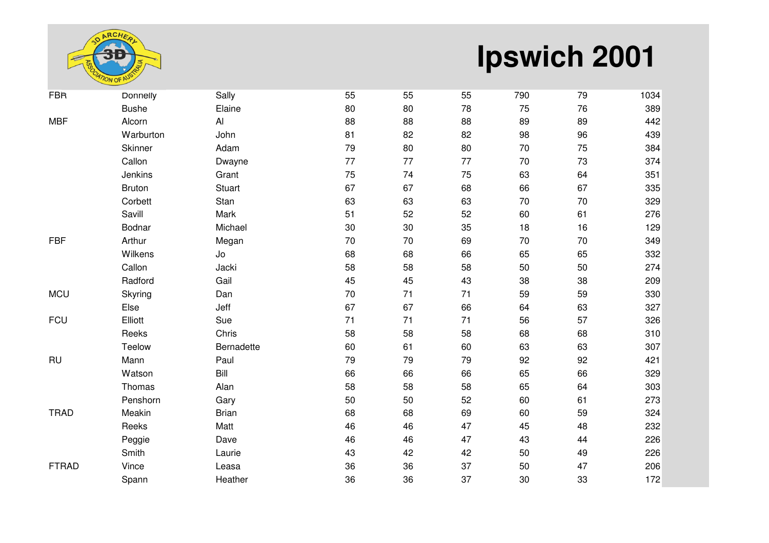

## **Ipswich 2001**

| <b>FBR</b>   | <b>Donnelly</b> | Sally         | 55 | 55 | 55 | 790 | 79     | 1034 |
|--------------|-----------------|---------------|----|----|----|-----|--------|------|
|              | <b>Bushe</b>    | Elaine        | 80 | 80 | 78 | 75  | 76     | 389  |
| <b>MBF</b>   | Alcorn          | AI            | 88 | 88 | 88 | 89  | 89     | 442  |
|              | Warburton       | John          | 81 | 82 | 82 | 98  | 96     | 439  |
|              | Skinner         | Adam          | 79 | 80 | 80 | 70  | 75     | 384  |
|              | Callon          | Dwayne        | 77 | 77 | 77 | 70  | 73     | 374  |
|              | Jenkins         | Grant         | 75 | 74 | 75 | 63  | 64     | 351  |
|              | <b>Bruton</b>   | <b>Stuart</b> | 67 | 67 | 68 | 66  | 67     | 335  |
|              | Corbett         | Stan          | 63 | 63 | 63 | 70  | 70     | 329  |
|              | Savill          | Mark          | 51 | 52 | 52 | 60  | 61     | 276  |
|              | Bodnar          | Michael       | 30 | 30 | 35 | 18  | 16     | 129  |
| <b>FBF</b>   | Arthur          | Megan         | 70 | 70 | 69 | 70  | $70\,$ | 349  |
|              | Wilkens         | Jo            | 68 | 68 | 66 | 65  | 65     | 332  |
|              | Callon          | Jacki         | 58 | 58 | 58 | 50  | 50     | 274  |
|              | Radford         | Gail          | 45 | 45 | 43 | 38  | 38     | 209  |
| <b>MCU</b>   | Skyring         | Dan           | 70 | 71 | 71 | 59  | 59     | 330  |
|              | Else            | Jeff          | 67 | 67 | 66 | 64  | 63     | 327  |
| <b>FCU</b>   | Elliott         | Sue           | 71 | 71 | 71 | 56  | 57     | 326  |
|              | Reeks           | Chris         | 58 | 58 | 58 | 68  | 68     | 310  |
|              | Teelow          | Bernadette    | 60 | 61 | 60 | 63  | 63     | 307  |
| <b>RU</b>    | Mann            | Paul          | 79 | 79 | 79 | 92  | 92     | 421  |
|              | Watson          | Bill          | 66 | 66 | 66 | 65  | 66     | 329  |
|              | Thomas          | Alan          | 58 | 58 | 58 | 65  | 64     | 303  |
|              | Penshorn        | Gary          | 50 | 50 | 52 | 60  | 61     | 273  |
| <b>TRAD</b>  | Meakin          | <b>Brian</b>  | 68 | 68 | 69 | 60  | 59     | 324  |
|              | Reeks           | Matt          | 46 | 46 | 47 | 45  | 48     | 232  |
|              | Peggie          | Dave          | 46 | 46 | 47 | 43  | 44     | 226  |
|              | Smith           | Laurie        | 43 | 42 | 42 | 50  | 49     | 226  |
| <b>FTRAD</b> | Vince           | Leasa         | 36 | 36 | 37 | 50  | 47     | 206  |
|              | Spann           | Heather       | 36 | 36 | 37 | 30  | 33     | 172  |